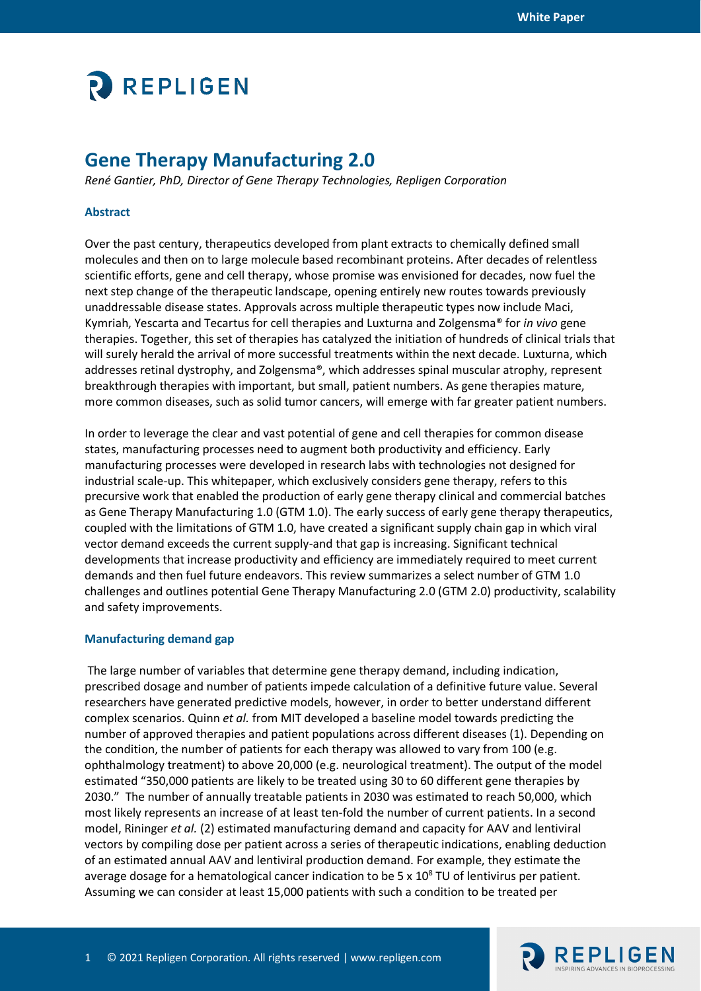# **P** REPLIGEN

## **Gene Therapy Manufacturing 2.0**

*René Gantier, PhD, Director of Gene Therapy Technologies, Repligen Corporation*

## **Abstract**

Over the past century, therapeutics developed from plant extracts to chemically defined small molecules and then on to large molecule based recombinant proteins. After decades of relentless scientific efforts, gene and cell therapy, whose promise was envisioned for decades, now fuel the next step change of the therapeutic landscape, opening entirely new routes towards previously unaddressable disease states. Approvals across multiple therapeutic types now include Maci, Kymriah, Yescarta and Tecartus for cell therapies and Luxturna and Zolgensma® for *in vivo* gene therapies. Together, this set of therapies has catalyzed the initiation of hundreds of clinical trials that will surely herald the arrival of more successful treatments within the next decade. Luxturna, which addresses retinal dystrophy, and Zolgensma®, which addresses spinal muscular atrophy, represent breakthrough therapies with important, but small, patient numbers. As gene therapies mature, more common diseases, such as solid tumor cancers, will emerge with far greater patient numbers.

In order to leverage the clear and vast potential of gene and cell therapies for common disease states, manufacturing processes need to augment both productivity and efficiency. Early manufacturing processes were developed in research labs with technologies not designed for industrial scale-up. This whitepaper, which exclusively considers gene therapy, refers to this precursive work that enabled the production of early gene therapy clinical and commercial batches as Gene Therapy Manufacturing 1.0 (GTM 1.0). The early success of early gene therapy therapeutics, coupled with the limitations of GTM 1.0, have created a significant supply chain gap in which viral vector demand exceeds the current supply-and that gap is increasing. Significant technical developments that increase productivity and efficiency are immediately required to meet current demands and then fuel future endeavors. This review summarizes a select number of GTM 1.0 challenges and outlines potential Gene Therapy Manufacturing 2.0 (GTM 2.0) productivity, scalability and safety improvements.

#### **Manufacturing demand gap**

The large number of variables that determine gene therapy demand, including indication, prescribed dosage and number of patients impede calculation of a definitive future value. Several researchers have generated predictive models, however, in order to better understand different complex scenarios. Quinn *et al.* from MIT developed a baseline model towards predicting the number of approved therapies and patient populations across different diseases (1). Depending on the condition, the number of patients for each therapy was allowed to vary from 100 (e.g. ophthalmology treatment) to above 20,000 (e.g. neurological treatment). The output of the model estimated "350,000 patients are likely to be treated using 30 to 60 different gene therapies by 2030." The number of annually treatable patients in 2030 was estimated to reach 50,000, which most likely represents an increase of at least ten-fold the number of current patients. In a second model, Rininger *et al.* (2) estimated manufacturing demand and capacity for AAV and lentiviral vectors by compiling dose per patient across a series of therapeutic indications, enabling deduction of an estimated annual AAV and lentiviral production demand. For example, they estimate the average dosage for a hematological cancer indication to be  $5 \times 10^8$  TU of lentivirus per patient. Assuming we can consider at least 15,000 patients with such a condition to be treated per

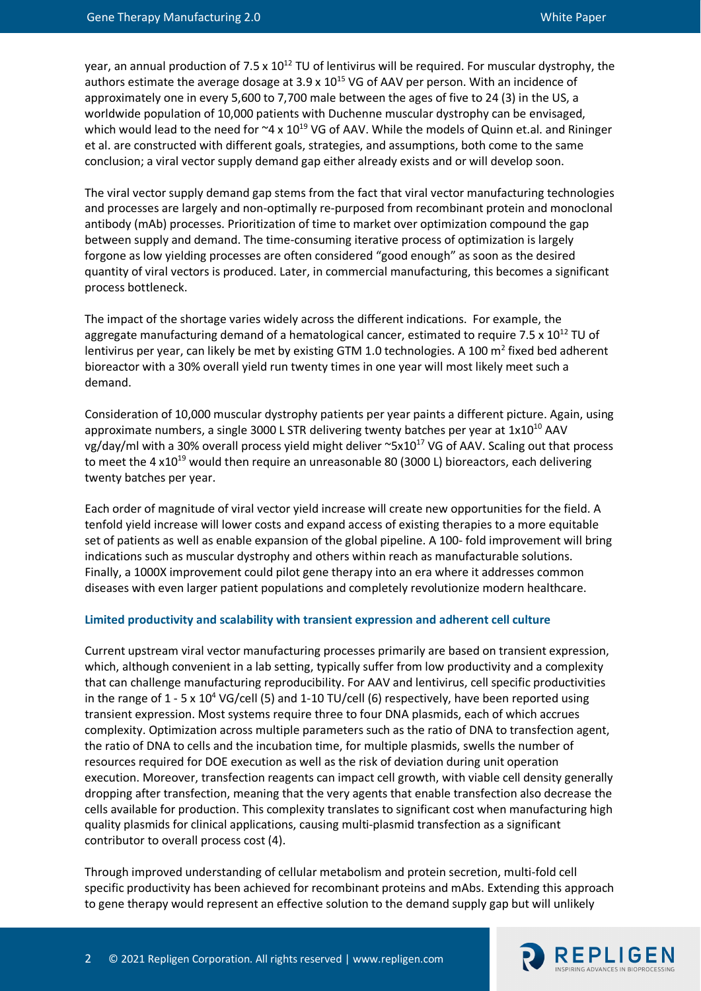year, an annual production of  $7.5 \times 10^{12}$  TU of lentivirus will be required. For muscular dystrophy, the authors estimate the average dosage at  $3.9 \times 10^{15}$  VG of AAV per person. With an incidence of approximately one in every 5,600 to 7,700 male between the ages of five to 24 (3) in the US, a worldwide population of 10,000 patients with Duchenne muscular dystrophy can be envisaged, which would lead to the need for  $\sim 4 \times 10^{19}$  VG of AAV. While the models of Quinn et.al. and Rininger et al. are constructed with different goals, strategies, and assumptions, both come to the same conclusion; a viral vector supply demand gap either already exists and or will develop soon.

The viral vector supply demand gap stems from the fact that viral vector manufacturing technologies and processes are largely and non-optimally re-purposed from recombinant protein and monoclonal antibody (mAb) processes. Prioritization of time to market over optimization compound the gap between supply and demand. The time-consuming iterative process of optimization is largely forgone as low yielding processes are often considered "good enough" as soon as the desired quantity of viral vectors is produced. Later, in commercial manufacturing, this becomes a significant process bottleneck.

The impact of the shortage varies widely across the different indications. For example, the aggregate manufacturing demand of a hematological cancer, estimated to require 7.5 x  $10^{12}$  TU of lentivirus per year, can likely be met by existing GTM 1.0 technologies. A 100  $m<sup>2</sup>$  fixed bed adherent bioreactor with a 30% overall yield run twenty times in one year will most likely meet such a demand.

Consideration of 10,000 muscular dystrophy patients per year paints a different picture. Again, using approximate numbers, a single 3000 L STR delivering twenty batches per year at  $1x10^{10}$  AAV vg/day/ml with a 30% overall process yield might deliver ~5x10<sup>17</sup> VG of AAV. Scaling out that process to meet the 4 x10<sup>19</sup> would then require an unreasonable 80 (3000 L) bioreactors, each delivering twenty batches per year.

Each order of magnitude of viral vector yield increase will create new opportunities for the field. A tenfold yield increase will lower costs and expand access of existing therapies to a more equitable set of patients as well as enable expansion of the global pipeline. A 100- fold improvement will bring indications such as muscular dystrophy and others within reach as manufacturable solutions. Finally, a 1000X improvement could pilot gene therapy into an era where it addresses common diseases with even larger patient populations and completely revolutionize modern healthcare.

## **Limited productivity and scalability with transient expression and adherent cell culture**

Current upstream viral vector manufacturing processes primarily are based on transient expression, which, although convenient in a lab setting, typically suffer from low productivity and a complexity that can challenge manufacturing reproducibility. For AAV and lentivirus, cell specific productivities in the range of  $1 - 5 \times 10^4$  VG/cell (5) and 1-10 TU/cell (6) respectively, have been reported using transient expression. Most systems require three to four DNA plasmids, each of which accrues complexity. Optimization across multiple parameters such as the ratio of DNA to transfection agent, the ratio of DNA to cells and the incubation time, for multiple plasmids, swells the number of resources required for DOE execution as well as the risk of deviation during unit operation execution. Moreover, transfection reagents can impact cell growth, with viable cell density generally dropping after transfection, meaning that the very agents that enable transfection also decrease the cells available for production. This complexity translates to significant cost when manufacturing high quality plasmids for clinical applications, causing multi-plasmid transfection as a significant contributor to overall process cost (4).

Through improved understanding of cellular metabolism and protein secretion, multi-fold cell specific productivity has been achieved for recombinant proteins and mAbs. Extending this approach to gene therapy would represent an effective solution to the demand supply gap but will unlikely

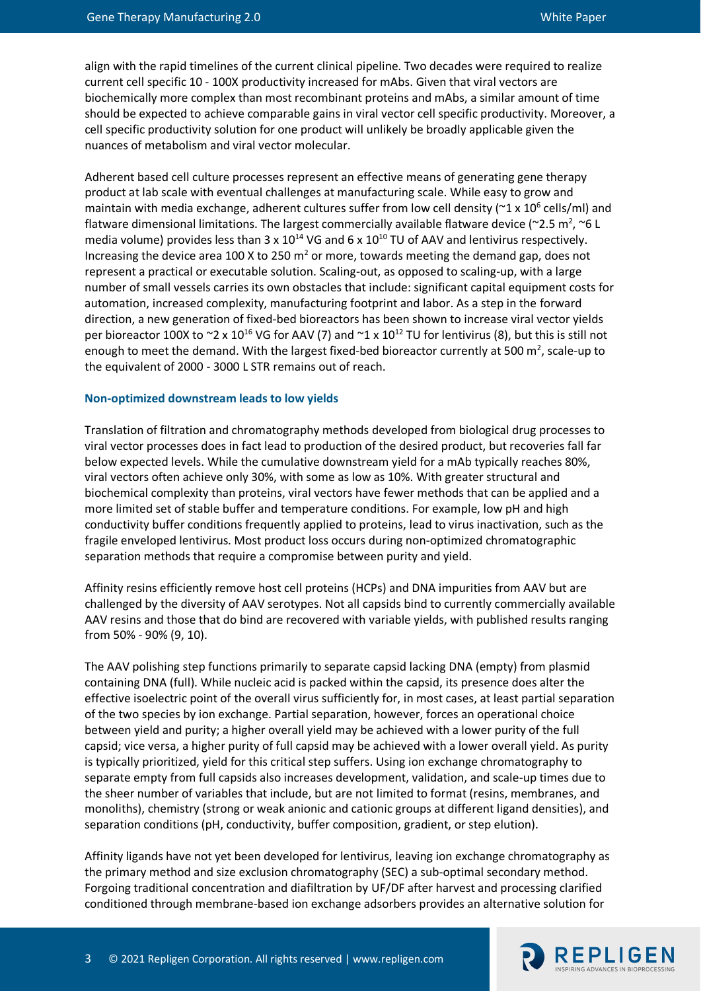align with the rapid timelines of the current clinical pipeline. Two decades were required to realize current cell specific 10 - 100X productivity increased for mAbs. Given that viral vectors are biochemically more complex than most recombinant proteins and mAbs, a similar amount of time should be expected to achieve comparable gains in viral vector cell specific productivity. Moreover, a cell specific productivity solution for one product will unlikely be broadly applicable given the nuances of metabolism and viral vector molecular.

Adherent based cell culture processes represent an effective means of generating gene therapy product at lab scale with eventual challenges at manufacturing scale. While easy to grow and maintain with media exchange, adherent cultures suffer from low cell density ( $\approx$  1 x 10<sup>6</sup> cells/ml) and flatware dimensional limitations. The largest commercially available flatware device (~2.5 m<sup>2</sup>, ~6 L media volume) provides less than  $3 \times 10^{14}$  VG and 6 x 10<sup>10</sup> TU of AAV and lentivirus respectively. Increasing the device area 100 X to 250  $m^2$  or more, towards meeting the demand gap, does not represent a practical or executable solution. Scaling-out, as opposed to scaling-up, with a large number of small vessels carries its own obstacles that include: significant capital equipment costs for automation, increased complexity, manufacturing footprint and labor. As a step in the forward direction, a new generation of fixed-bed bioreactors has been shown to increase viral vector yields per bioreactor 100X to  $\sim$ 2 x 10<sup>16</sup> VG for AAV (7) and  $\sim$ 1 x 10<sup>12</sup> TU for lentivirus (8), but this is still not enough to meet the demand. With the largest fixed-bed bioreactor currently at 500 m<sup>2</sup>, scale-up to the equivalent of 2000 - 3000 L STR remains out of reach.

#### **Non-optimized downstream leads to low yields**

Translation of filtration and chromatography methods developed from biological drug processes to viral vector processes does in fact lead to production of the desired product, but recoveries fall far below expected levels. While the cumulative downstream yield for a mAb typically reaches 80%, viral vectors often achieve only 30%, with some as low as 10%. With greater structural and biochemical complexity than proteins, viral vectors have fewer methods that can be applied and a more limited set of stable buffer and temperature conditions. For example, low pH and high conductivity buffer conditions frequently applied to proteins, lead to virus inactivation, such as the fragile enveloped lentivirus. Most product loss occurs during non-optimized chromatographic separation methods that require a compromise between purity and yield.

Affinity resins efficiently remove host cell proteins (HCPs) and DNA impurities from AAV but are challenged by the diversity of AAV serotypes. Not all capsids bind to currently commercially available AAV resins and those that do bind are recovered with variable yields, with published results ranging from 50% - 90% (9, 10).

The AAV polishing step functions primarily to separate capsid lacking DNA (empty) from plasmid containing DNA (full). While nucleic acid is packed within the capsid, its presence does alter the effective isoelectric point of the overall virus sufficiently for, in most cases, at least partial separation of the two species by ion exchange. Partial separation, however, forces an operational choice between yield and purity; a higher overall yield may be achieved with a lower purity of the full capsid; vice versa, a higher purity of full capsid may be achieved with a lower overall yield. As purity is typically prioritized, yield for this critical step suffers. Using ion exchange chromatography to separate empty from full capsids also increases development, validation, and scale-up times due to the sheer number of variables that include, but are not limited to format (resins, membranes, and monoliths), chemistry (strong or weak anionic and cationic groups at different ligand densities), and separation conditions (pH, conductivity, buffer composition, gradient, or step elution).

Affinity ligands have not yet been developed for lentivirus, leaving ion exchange chromatography as the primary method and size exclusion chromatography (SEC) a sub-optimal secondary method. Forgoing traditional concentration and diafiltration by UF/DF after harvest and processing clarified conditioned through membrane-based ion exchange adsorbers provides an alternative solution for

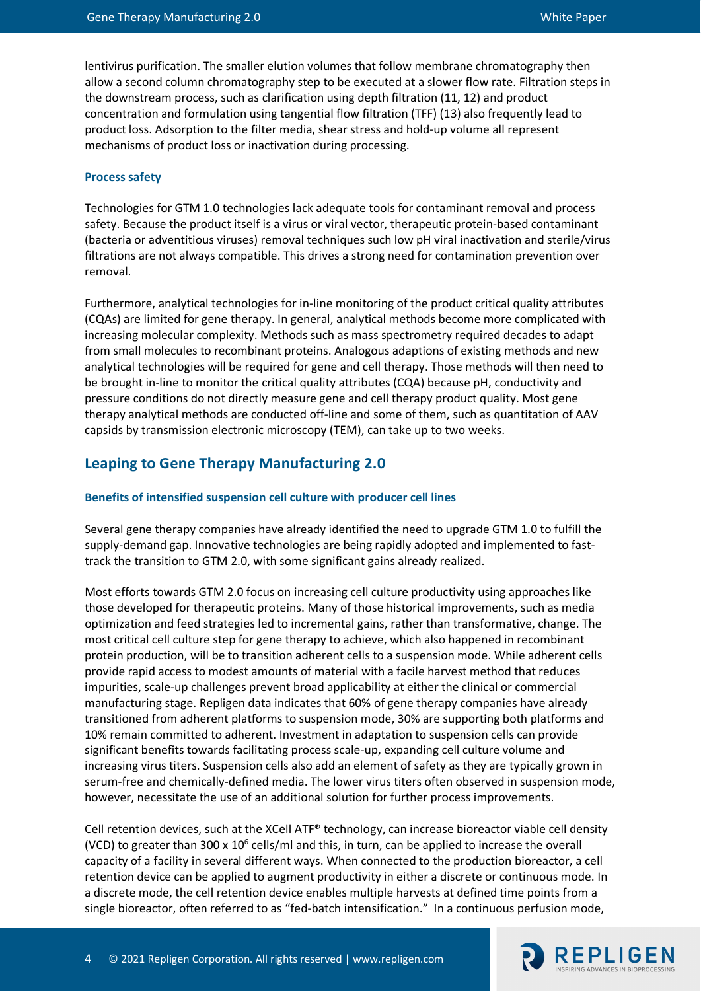lentivirus purification. The smaller elution volumes that follow membrane chromatography then allow a second column chromatography step to be executed at a slower flow rate. Filtration steps in the downstream process, such as clarification using depth filtration (11, 12) and product concentration and formulation using tangential flow filtration (TFF) (13) also frequently lead to product loss. Adsorption to the filter media, shear stress and hold-up volume all represent mechanisms of product loss or inactivation during processing.

## **Process safety**

Technologies for GTM 1.0 technologies lack adequate tools for contaminant removal and process safety. Because the product itself is a virus or viral vector, therapeutic protein-based contaminant (bacteria or adventitious viruses) removal techniques such low pH viral inactivation and sterile/virus filtrations are not always compatible. This drives a strong need for contamination prevention over removal.

Furthermore, analytical technologies for in-line monitoring of the product critical quality attributes (CQAs) are limited for gene therapy. In general, analytical methods become more complicated with increasing molecular complexity. Methods such as mass spectrometry required decades to adapt from small molecules to recombinant proteins. Analogous adaptions of existing methods and new analytical technologies will be required for gene and cell therapy. Those methods will then need to be brought in-line to monitor the critical quality attributes (CQA) because pH, conductivity and pressure conditions do not directly measure gene and cell therapy product quality. Most gene therapy analytical methods are conducted off-line and some of them, such as quantitation of AAV capsids by transmission electronic microscopy (TEM), can take up to two weeks.

## **Leaping to Gene Therapy Manufacturing 2.0**

## **Benefits of intensified suspension cell culture with producer cell lines**

Several gene therapy companies have already identified the need to upgrade GTM 1.0 to fulfill the supply-demand gap. Innovative technologies are being rapidly adopted and implemented to fasttrack the transition to GTM 2.0, with some significant gains already realized.

Most efforts towards GTM 2.0 focus on increasing cell culture productivity using approaches like those developed for therapeutic proteins. Many of those historical improvements, such as media optimization and feed strategies led to incremental gains, rather than transformative, change. The most critical cell culture step for gene therapy to achieve, which also happened in recombinant protein production, will be to transition adherent cells to a suspension mode. While adherent cells provide rapid access to modest amounts of material with a facile harvest method that reduces impurities, scale-up challenges prevent broad applicability at either the clinical or commercial manufacturing stage. Repligen data indicates that 60% of gene therapy companies have already transitioned from adherent platforms to suspension mode, 30% are supporting both platforms and 10% remain committed to adherent. Investment in adaptation to suspension cells can provide significant benefits towards facilitating process scale-up, expanding cell culture volume and increasing virus titers. Suspension cells also add an element of safety as they are typically grown in serum-free and chemically-defined media. The lower virus titers often observed in suspension mode, however, necessitate the use of an additional solution for further process improvements.

Cell retention devices, such at the XCell ATF® technology, can increase bioreactor viable cell density (VCD) to greater than 300 x  $10^6$  cells/ml and this, in turn, can be applied to increase the overall capacity of a facility in several different ways. When connected to the production bioreactor, a cell retention device can be applied to augment productivity in either a discrete or continuous mode. In a discrete mode, the cell retention device enables multiple harvests at defined time points from a single bioreactor, often referred to as "fed-batch intensification." In a continuous perfusion mode,

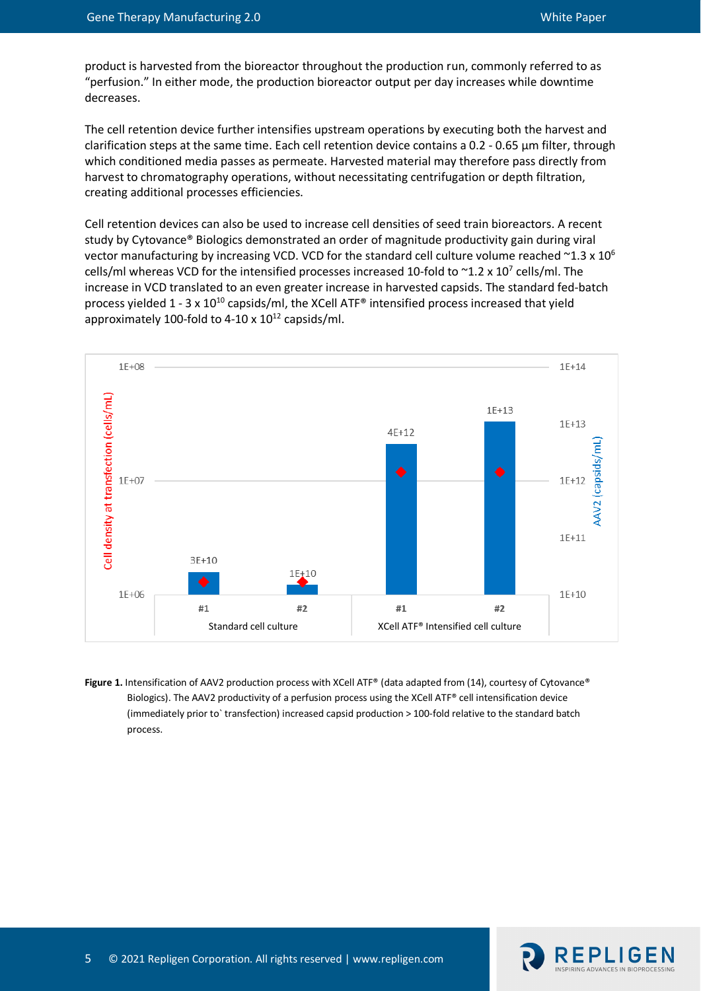product is harvested from the bioreactor throughout the production run, commonly referred to as "perfusion." In either mode, the production bioreactor output per day increases while downtime decreases.

The cell retention device further intensifies upstream operations by executing both the harvest and clarification steps at the same time. Each cell retention device contains a 0.2 - 0.65 µm filter, through which conditioned media passes as permeate. Harvested material may therefore pass directly from harvest to chromatography operations, without necessitating centrifugation or depth filtration, creating additional processes efficiencies.

Cell retention devices can also be used to increase cell densities of seed train bioreactors. A recent study by Cytovance® Biologics demonstrated an order of magnitude productivity gain during viral vector manufacturing by increasing VCD. VCD for the standard cell culture volume reached  $\sim$ 1.3 x 10<sup>6</sup> cells/ml whereas VCD for the intensified processes increased 10-fold to  $\sim$ 1.2 x 10<sup>7</sup> cells/ml. The increase in VCD translated to an even greater increase in harvested capsids. The standard fed-batch process yielded 1 - 3 x 10<sup>10</sup> capsids/ml, the XCell ATF® intensified process increased that yield approximately 100-fold to 4-10 x  $10^{12}$  capsids/ml.



Figure 1. Intensification of AAV2 production process with XCell ATF® (data adapted from (14), courtesy of Cytovance® Biologics). The AAV2 productivity of a perfusion process using the XCell ATF® cell intensification device (immediately prior to` transfection) increased capsid production > 100-fold relative to the standard batch process.

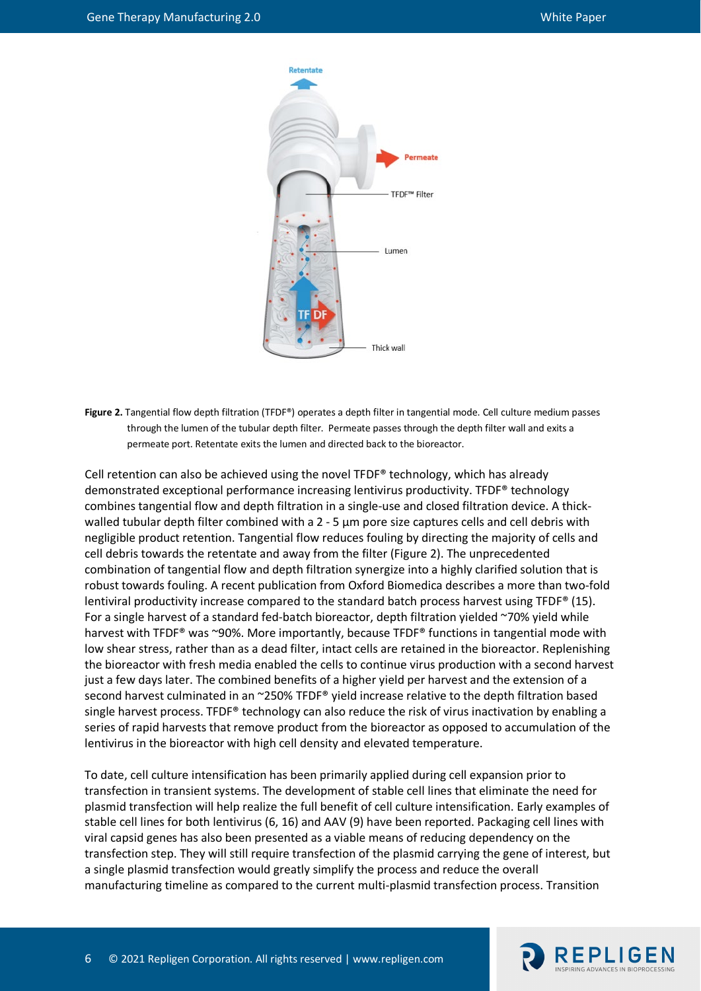

**Figure 2.** Tangential flow depth filtration (TFDF®) operates a depth filter in tangential mode. Cell culture medium passes through the lumen of the tubular depth filter. Permeate passes through the depth filter wall and exits a permeate port. Retentate exits the lumen and directed back to the bioreactor.

Cell retention can also be achieved using the novel TFDF<sup>®</sup> technology, which has already demonstrated exceptional performance increasing lentivirus productivity. TFDF® technology combines tangential flow and depth filtration in a single-use and closed filtration device. A thickwalled tubular depth filter combined with a 2 - 5 µm pore size captures cells and cell debris with negligible product retention. Tangential flow reduces fouling by directing the majority of cells and cell debris towards the retentate and away from the filter (Figure 2). The unprecedented combination of tangential flow and depth filtration synergize into a highly clarified solution that is robust towards fouling. A recent publication from Oxford Biomedica describes a more than two-fold lentiviral productivity increase compared to the standard batch process harvest using TFDF® (15). For a single harvest of a standard fed-batch bioreactor, depth filtration yielded ~70% yield while harvest with TFDF® was ~90%. More importantly, because TFDF® functions in tangential mode with low shear stress, rather than as a dead filter, intact cells are retained in the bioreactor. Replenishing the bioreactor with fresh media enabled the cells to continue virus production with a second harvest just a few days later. The combined benefits of a higher yield per harvest and the extension of a second harvest culminated in an ~250% TFDF® yield increase relative to the depth filtration based single harvest process. TFDF® technology can also reduce the risk of virus inactivation by enabling a series of rapid harvests that remove product from the bioreactor as opposed to accumulation of the lentivirus in the bioreactor with high cell density and elevated temperature.

To date, cell culture intensification has been primarily applied during cell expansion prior to transfection in transient systems. The development of stable cell lines that eliminate the need for plasmid transfection will help realize the full benefit of cell culture intensification. Early examples of stable cell lines for both lentivirus (6, 16) and AAV (9) have been reported. Packaging cell lines with viral capsid genes has also been presented as a viable means of reducing dependency on the transfection step. They will still require transfection of the plasmid carrying the gene of interest, but a single plasmid transfection would greatly simplify the process and reduce the overall manufacturing timeline as compared to the current multi-plasmid transfection process. Transition

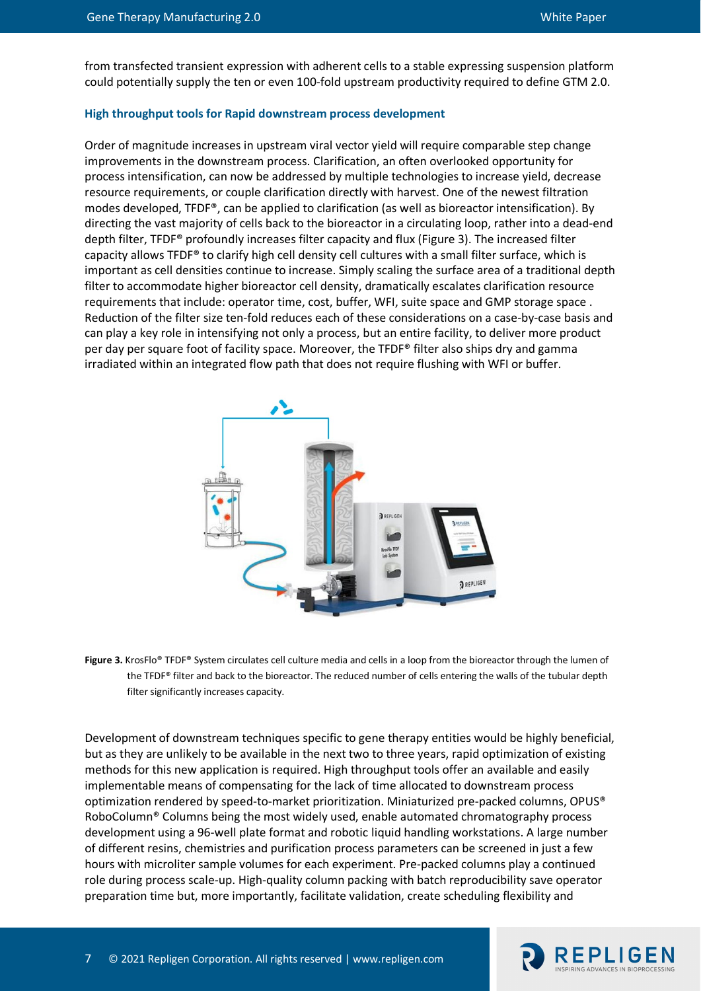**REPLIGEN** 

from transfected transient expression with adherent cells to a stable expressing suspension platform could potentially supply the ten or even 100-fold upstream productivity required to define GTM 2.0.

## **High throughput tools for Rapid downstream process development**

Order of magnitude increases in upstream viral vector yield will require comparable step change improvements in the downstream process. Clarification, an often overlooked opportunity for process intensification, can now be addressed by multiple technologies to increase yield, decrease resource requirements, or couple clarification directly with harvest. One of the newest filtration modes developed, TFDF®, can be applied to clarification (as well as bioreactor intensification). By directing the vast majority of cells back to the bioreactor in a circulating loop, rather into a dead-end depth filter, TFDF® profoundly increases filter capacity and flux (Figure 3). The increased filter capacity allows TFDF® to clarify high cell density cell cultures with a small filter surface, which is important as cell densities continue to increase. Simply scaling the surface area of a traditional depth filter to accommodate higher bioreactor cell density, dramatically escalates clarification resource requirements that include: operator time, cost, buffer, WFI, suite space and GMP storage space . Reduction of the filter size ten-fold reduces each of these considerations on a case-by-case basis and can play a key role in intensifying not only a process, but an entire facility, to deliver more product per day per square foot of facility space. Moreover, the TFDF® filter also ships dry and gamma irradiated within an integrated flow path that does not require flushing with WFI or buffer.



**Figure 3.** KrosFlo® TFDF® System circulates cell culture media and cells in a loop from the bioreactor through the lumen of the TFDF® filter and back to the bioreactor. The reduced number of cells entering the walls of the tubular depth filter significantly increases capacity.

Development of downstream techniques specific to gene therapy entities would be highly beneficial, but as they are unlikely to be available in the next two to three years, rapid optimization of existing methods for this new application is required. High throughput tools offer an available and easily implementable means of compensating for the lack of time allocated to downstream process optimization rendered by speed-to-market prioritization. Miniaturized pre-packed columns, OPUS® RoboColumn® Columns being the most widely used, enable automated chromatography process development using a 96-well plate format and robotic liquid handling workstations. A large number of different resins, chemistries and purification process parameters can be screened in just a few hours with microliter sample volumes for each experiment. Pre-packed columns play a continued role during process scale-up. High-quality column packing with batch reproducibility save operator preparation time but, more importantly, facilitate validation, create scheduling flexibility and

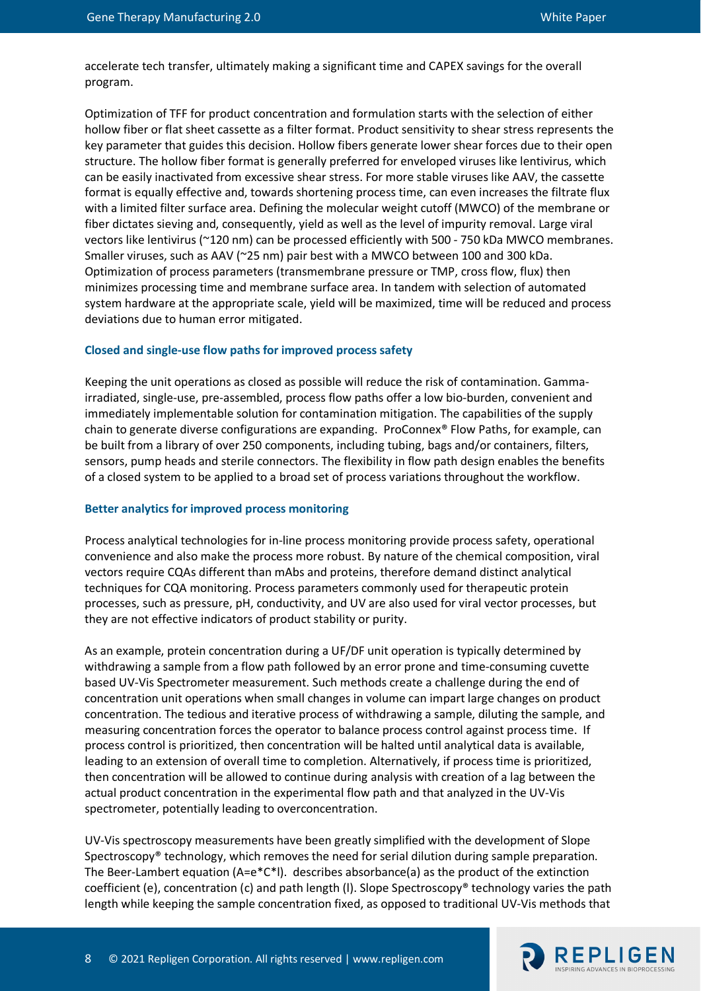accelerate tech transfer, ultimately making a significant time and CAPEX savings for the overall program.

Optimization of TFF for product concentration and formulation starts with the selection of either hollow fiber or flat sheet cassette as a filter format. Product sensitivity to shear stress represents the key parameter that guides this decision. Hollow fibers generate lower shear forces due to their open structure. The hollow fiber format is generally preferred for enveloped viruses like lentivirus, which can be easily inactivated from excessive shear stress. For more stable viruses like AAV, the cassette format is equally effective and, towards shortening process time, can even increases the filtrate flux with a limited filter surface area. Defining the molecular weight cutoff (MWCO) of the membrane or fiber dictates sieving and, consequently, yield as well as the level of impurity removal. Large viral vectors like lentivirus (~120 nm) can be processed efficiently with 500 - 750 kDa MWCO membranes. Smaller viruses, such as AAV (~25 nm) pair best with a MWCO between 100 and 300 kDa. Optimization of process parameters (transmembrane pressure or TMP, cross flow, flux) then minimizes processing time and membrane surface area. In tandem with selection of automated system hardware at the appropriate scale, yield will be maximized, time will be reduced and process deviations due to human error mitigated.

## **Closed and single-use flow paths for improved process safety**

Keeping the unit operations as closed as possible will reduce the risk of contamination. Gammairradiated, single-use, pre-assembled, process flow paths offer a low bio-burden, convenient and immediately implementable solution for contamination mitigation. The capabilities of the supply chain to generate diverse configurations are expanding. ProConnex® Flow Paths, for example, can be built from a library of over 250 components, including tubing, bags and/or containers, filters, sensors, pump heads and sterile connectors. The flexibility in flow path design enables the benefits of a closed system to be applied to a broad set of process variations throughout the workflow.

## **Better analytics for improved process monitoring**

Process analytical technologies for in-line process monitoring provide process safety, operational convenience and also make the process more robust. By nature of the chemical composition, viral vectors require CQAs different than mAbs and proteins, therefore demand distinct analytical techniques for CQA monitoring. Process parameters commonly used for therapeutic protein processes, such as pressure, pH, conductivity, and UV are also used for viral vector processes, but they are not effective indicators of product stability or purity.

As an example, protein concentration during a UF/DF unit operation is typically determined by withdrawing a sample from a flow path followed by an error prone and time-consuming cuvette based UV-Vis Spectrometer measurement. Such methods create a challenge during the end of concentration unit operations when small changes in volume can impart large changes on product concentration. The tedious and iterative process of withdrawing a sample, diluting the sample, and measuring concentration forces the operator to balance process control against process time. If process control is prioritized, then concentration will be halted until analytical data is available, leading to an extension of overall time to completion. Alternatively, if process time is prioritized, then concentration will be allowed to continue during analysis with creation of a lag between the actual product concentration in the experimental flow path and that analyzed in the UV-Vis spectrometer, potentially leading to overconcentration.

UV-Vis spectroscopy measurements have been greatly simplified with the development of Slope Spectroscopy® technology, which removes the need for serial dilution during sample preparation. The Beer-Lambert equation  $(A=e^+C^*I)$ . describes absorbance(a) as the product of the extinction coefficient (e), concentration (c) and path length (l). Slope Spectroscopy® technology varies the path length while keeping the sample concentration fixed, as opposed to traditional UV-Vis methods that

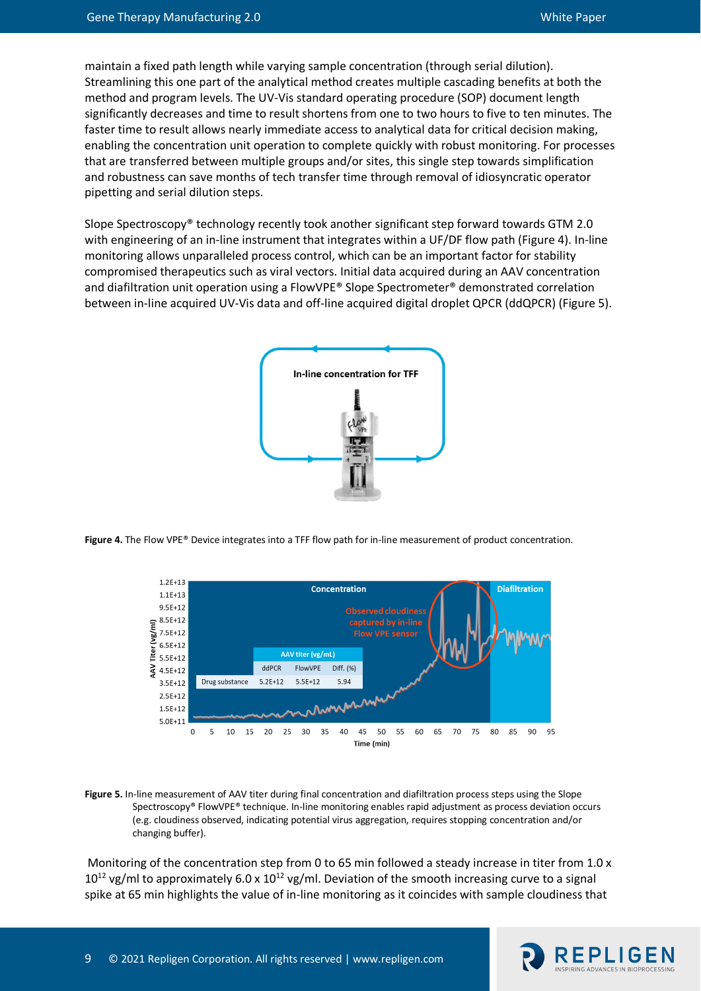maintain a fixed path length while varying sample concentration (through serial dilution). Streamlining this one part of the analytical method creates multiple cascading benefits at both the method and program levels. The UV-Vis standard operating procedure (SOP) document length significantly decreases and time to result shortens from one to two hours to five to ten minutes. The faster time to result allows nearly immediate access to analytical data for critical decision making, enabling the concentration unit operation to complete quickly with robust monitoring. For processes that are transferred between multiple groups and/or sites, this single step towards simplification and robustness can save months of tech transfer time through removal of idiosyncratic operator pipetting and serial dilution steps.

Slope Spectroscopy® technology recently took another significant step forward towards GTM 2.0 with engineering of an in-line instrument that integrates within a UF/DF flow path (Figure 4). In-line monitoring allows unparalleled process control, which can be an important factor for stability compromised therapeutics such as viral vectors. Initial data acquired during an AAV concentration and diafiltration unit operation using a FlowVPE® Slope Spectrometer® demonstrated correlation between in-line acquired UV-Vis data and off-line acquired digital droplet QPCR (ddQPCR) (Figure 5).



**Figure 4.** The Flow VPE® Device integrates into a TFF flow path for in-line measurement of product concentration.



**Figure 5.** In-line measurement of AAV titer during final concentration and diafiltration process steps using the Slope Spectroscopy® FlowVPE® technique. In-line monitoring enables rapid adjustment as process deviation occurs (e.g. cloudiness observed, indicating potential virus aggregation, requires stopping concentration and/or changing buffer).

Monitoring of the concentration step from 0 to 65 min followed a steady increase in titer from 1.0 x  $10^{12}$  vg/ml to approximately 6.0 x  $10^{12}$  vg/ml. Deviation of the smooth increasing curve to a signal spike at 65 min highlights the value of in-line monitoring as it coincides with sample cloudiness that

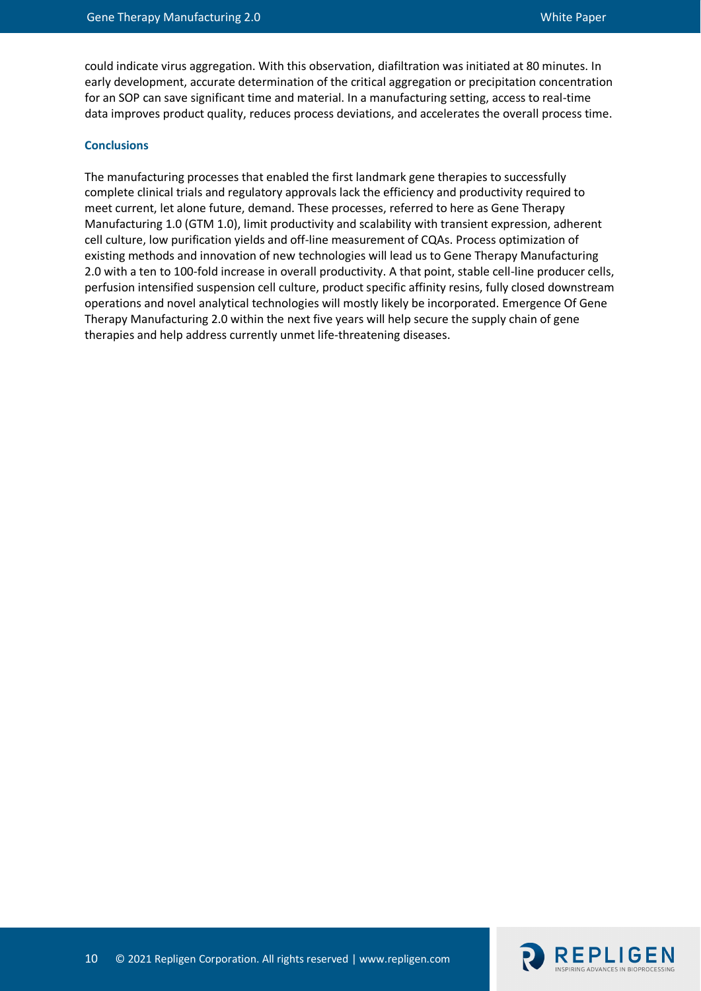could indicate virus aggregation. With this observation, diafiltration was initiated at 80 minutes. In early development, accurate determination of the critical aggregation or precipitation concentration for an SOP can save significant time and material. In a manufacturing setting, access to real-time data improves product quality, reduces process deviations, and accelerates the overall process time.

### **Conclusions**

The manufacturing processes that enabled the first landmark gene therapies to successfully complete clinical trials and regulatory approvals lack the efficiency and productivity required to meet current, let alone future, demand. These processes, referred to here as Gene Therapy Manufacturing 1.0 (GTM 1.0), limit productivity and scalability with transient expression, adherent cell culture, low purification yields and off-line measurement of CQAs. Process optimization of existing methods and innovation of new technologies will lead us to Gene Therapy Manufacturing 2.0 with a ten to 100-fold increase in overall productivity. A that point, stable cell-line producer cells, perfusion intensified suspension cell culture, product specific affinity resins, fully closed downstream operations and novel analytical technologies will mostly likely be incorporated. Emergence Of Gene Therapy Manufacturing 2.0 within the next five years will help secure the supply chain of gene therapies and help address currently unmet life-threatening diseases.